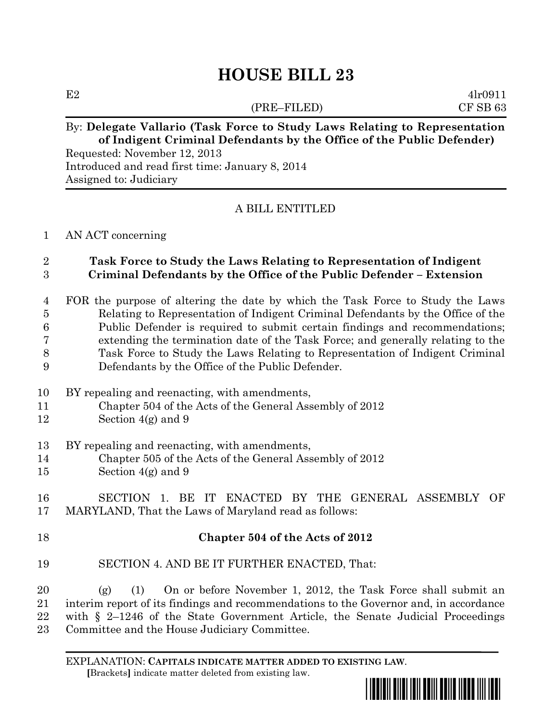# **HOUSE BILL 23**

(PRE–FILED) CF SB 63

 $E2 \qquad \qquad 4l \cdot 0911$ 

# By: **Delegate Vallario (Task Force to Study Laws Relating to Representation of Indigent Criminal Defendants by the Office of the Public Defender)**

Requested: November 12, 2013 Introduced and read first time: January 8, 2014 Assigned to: Judiciary

### A BILL ENTITLED

#### AN ACT concerning

#### **Task Force to Study the Laws Relating to Representation of Indigent Criminal Defendants by the Office of the Public Defender – Extension**

- FOR the purpose of altering the date by which the Task Force to Study the Laws Relating to Representation of Indigent Criminal Defendants by the Office of the Public Defender is required to submit certain findings and recommendations; extending the termination date of the Task Force; and generally relating to the Task Force to Study the Laws Relating to Representation of Indigent Criminal Defendants by the Office of the Public Defender.
- BY repealing and reenacting, with amendments,
- Chapter 504 of the Acts of the General Assembly of 2012
- Section 4(g) and 9
- BY repealing and reenacting, with amendments,
- Chapter 505 of the Acts of the General Assembly of 2012
- Section 4(g) and 9

## SECTION 1. BE IT ENACTED BY THE GENERAL ASSEMBLY OF MARYLAND, That the Laws of Maryland read as follows:

# **Chapter 504 of the Acts of 2012**

SECTION 4. AND BE IT FURTHER ENACTED, That:

 (g) (1) On or before November 1, 2012, the Task Force shall submit an interim report of its findings and recommendations to the Governor and, in accordance with § 2–1246 of the State Government Article, the Senate Judicial Proceedings Committee and the House Judiciary Committee.

EXPLANATION: **CAPITALS INDICATE MATTER ADDED TO EXISTING LAW**.  **[**Brackets**]** indicate matter deleted from existing law.